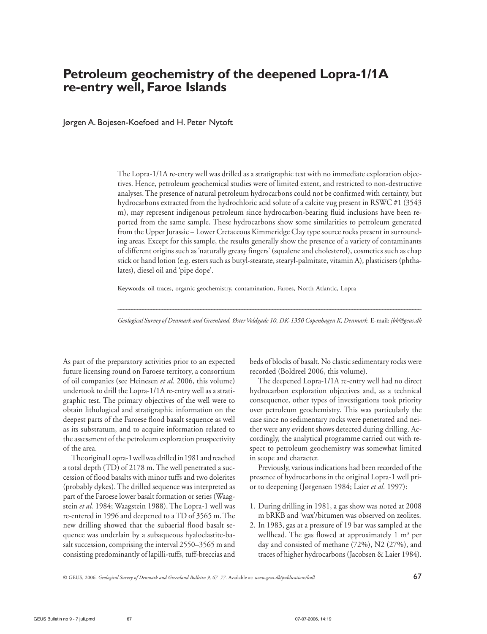# **Petroleum geochemistry of the deepened Lopra-1/1A re-entry well, Faroe Islands**

Jørgen A. Bojesen-Koefoed and H. Peter Nytoft

The Lopra-1/1A re-entry well was drilled as a stratigraphic test with no immediate exploration objectives. Hence, petroleum geochemical studies were of limited extent, and restricted to non-destructive analyses. The presence of natural petroleum hydrocarbons could not be confirmed with certainty, but hydrocarbons extracted from the hydrochloric acid solute of a calcite vug present in RSWC #1 (3543 m), may represent indigenous petroleum since hydrocarbon-bearing fluid inclusions have been reported from the same sample. These hydrocarbons show some similarities to petroleum generated from the Upper Jurassic – Lower Cretaceous Kimmeridge Clay type source rocks present in surrounding areas. Except for this sample, the results generally show the presence of a variety of contaminants of different origins such as 'naturally greasy fingers' (squalene and cholesterol), cosmetics such as chap stick or hand lotion (e.g. esters such as butyl-stearate, stearyl-palmitate, vitamin A), plasticisers (phthalates), diesel oil and 'pipe dope'.

**Keywords**: oil traces, organic geochemistry, contamination, Faroes, North Atlantic, Lopra

\_\_\_\_\_\_\_\_\_\_\_\_\_\_\_\_\_\_\_\_\_\_\_\_\_\_\_\_\_\_\_\_\_\_\_\_\_\_\_\_\_\_\_\_\_\_\_\_\_\_\_\_\_\_\_\_\_\_\_\_\_\_\_\_\_\_\_\_\_\_\_\_\_\_\_\_\_\_\_\_\_\_\_\_\_\_\_\_\_\_\_\_\_\_\_\_\_\_\_\_\_\_\_\_\_\_\_\_\_\_ *Geological Survey of Denmark and Greenland, Øster Voldgade 10, DK-1350 Copenhagen K, Denmark.* E-mail: *jbk@geus.dk*

As part of the preparatory activities prior to an expected future licensing round on Faroese territory, a consortium of oil companies (see Heinesen *et al.* 2006, this volume) undertook to drill the Lopra-1/1A re-entry well as a stratigraphic test. The primary objectives of the well were to obtain lithological and stratigraphic information on the deepest parts of the Faroese flood basalt sequence as well as its substratum, and to acquire information related to the assessment of the petroleum exploration prospectivity of the area.

The original Lopra-1 well was drilled in 1981 and reached a total depth (TD) of 2178 m. The well penetrated a succession of flood basalts with minor tuffs and two dolerites (probably dykes). The drilled sequence was interpreted as part of the Faroese lower basalt formation or series (Waagstein *et al.* 1984; Waagstein 1988). The Lopra-1 well was re-entered in 1996 and deepened to a TD of 3565 m. The new drilling showed that the subaerial flood basalt sequence was underlain by a subaqueous hyaloclastite-basalt succession, comprising the interval 2550–3565 m and consisting predominantly of lapilli-tuffs, tuff-breccias and beds of blocks of basalt. No clastic sedimentary rocks were recorded (Boldreel 2006, this volume).

The deepened Lopra-1/1A re-entry well had no direct hydrocarbon exploration objectives and, as a technical consequence, other types of investigations took priority over petroleum geochemistry. This was particularly the case since no sedimentary rocks were penetrated and neither were any evident shows detected during drilling. Accordingly, the analytical programme carried out with respect to petroleum geochemistry was somewhat limited in scope and character.

Previously, various indications had been recorded of the presence of hydrocarbons in the original Lopra-1 well prior to deepening (Jørgensen 1984; Laier *et al.* 1997):

- 1. During drilling in 1981, a gas show was noted at 2008 m bRKB and 'wax'/bitumen was observed on zeolites.
- 2. In 1983, gas at a pressure of 19 bar was sampled at the wellhead. The gas flowed at approximately 1  $\mathrm{m}^{3}$  per day and consisted of methane (72%), N2 (27%), and traces of higher hydrocarbons (Jacobsen & Laier 1984).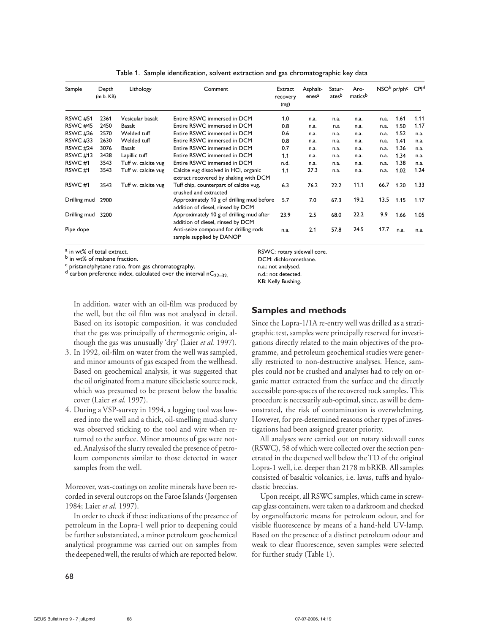| Sample              | Depth<br>(m b. KB) | Lithology           | Comment                                                                        | Extract<br>recovery<br>(mg) | Asphalt-<br>enesa | Satur-<br>atesb | Aro-<br>maticsb |      | NSO <sup>b</sup> pr/ph <sup>c</sup> | CPIq |
|---------------------|--------------------|---------------------|--------------------------------------------------------------------------------|-----------------------------|-------------------|-----------------|-----------------|------|-------------------------------------|------|
| <b>RSWC #51</b>     | 2361               | Vesicular basalt    | Entire RSWC immersed in DCM                                                    | 1.0                         | n.a.              | n.a.            | n.a.            | n.a. | 1.61                                | 1.11 |
| <b>RSWC #45</b>     | 2450               | Basalt              | Entire RSWC immersed in DCM                                                    | 0.8                         | n.a.              | n.a             | n.a.            | n.a. | 1.50                                | 1.17 |
| <b>RSWC #36</b>     | 2570               | Welded tuff         | Entire RSWC immersed in DCM                                                    | 0.6                         | n.a.              | n.a.            | n.a.            | n.a. | 1.52                                | n.a. |
| <b>RSWC #33</b>     | 2630               | Welded tuff         | Entire RSWC immersed in DCM                                                    | 0.8                         | n.a.              | n.a.            | n.a.            | n.a. | 1.41                                | n.a. |
| RSWC <sub>#24</sub> | 3076               | Basalt              | Entire RSWC immersed in DCM                                                    | 0.7                         | n.a.              | n.a.            | n.a.            | n.a. | 1.36                                | n.a. |
| <b>RSWC #13</b>     | 3438               | Lapillic tuff       | Entire RSWC immersed in DCM                                                    | 1.1                         | n.a.              | n.a.            | n.a.            | n.a. | 1.34                                | n.a. |
| RSWC <sub>#1</sub>  | 3543               | Tuff w. calcite vug | Entire RSWC immersed in DCM                                                    | n.d.                        | n.a.              | n.a.            | n.a.            | n.a. | 1.38                                | n.a. |
| RSWC <sub>#1</sub>  | 3543               | Tuff w. calcite vug | Calcite vug dissolved in HCI, organic<br>extract recovered by shaking with DCM | 1.1                         | 27.3              | n.a.            | n.a.            | n.a. | 1.02                                | 1.24 |
| RSWC <sub>#1</sub>  | 3543               | Tuff w. calcite vug | Tuff chip, counterpart of calcite vug,<br>crushed and extracted                | 6.3                         | 76.2              | 22.2            | 11.1            | 66.7 | 1.20                                | 1.33 |
| Drilling mud        | 2900               |                     | Approximately 10 g of drilling mud before<br>addition of diesel, rinsed by DCM | 5.7                         | 7.0               | 67.3            | 19.2            | 13.5 | 1.15                                | 1.17 |
| Drilling mud        | 3200               |                     | Approximately 10 g of drilling mud after<br>addition of diesel, rinsed by DCM  | 23.9                        | 2.5               | 68.0            | 22.2            | 9.9  | 1.66                                | 1.05 |
| Pipe dope           |                    |                     | Anti-seize compound for drilling rods<br>sample supplied by DANOP              | n.a.                        | 2.1               | 57.8            | 24.5            | 17.7 | n.a.                                | n.a. |

Table 1. Sample identification, solvent extraction and gas chromatographic key data

 $\frac{a}{b}$  in wt% of total extract.

 $\frac{b}{c}$  in wt% of maltene fraction.<br>c pristane/phytane ratio, from gas chromatography.

 $d$  carbon preference index, calculated over the interval nC<sub>22–32</sub>.

RSWC: rotary sidewall core. DCM: dichloromethane.

n.a.: not analysed.

n.d.: not detected. KB: Kelly Bushing.

In addition, water with an oil-film was produced by the well, but the oil film was not analysed in detail. Based on its isotopic composition, it was concluded that the gas was principally of thermogenic origin, although the gas was unusually 'dry' (Laier *et al.* 1997).

- 3. In 1992, oil-film on water from the well was sampled, and minor amounts of gas escaped from the wellhead. Based on geochemical analysis, it was suggested that the oil originated from a mature siliciclastic source rock, which was presumed to be present below the basaltic cover (Laier *et al.* 1997).
- 4. During a VSP-survey in 1994, a logging tool was lowered into the well and a thick, oil-smelling mud-slurry was observed sticking to the tool and wire when returned to the surface. Minor amounts of gas were noted.Analysisof the slurry revealed the presence of petroleum components similar to those detected in water samples from the well.

Moreover, wax-coatings on zeolite minerals have been recorded in several outcrops on the Faroe Islands (Jørgensen 1984; Laier *et al.* 1997).

In order to check if these indications of the presence of petroleum in the Lopra-1 well prior to deepening could be further substantiated, a minor petroleum geochemical analytical programme was carried out on samples from the deepened well, the results of which are reported below.

# **Samples and methods**

Since the Lopra-1/1A re-entry well was drilled as a stratigraphic test, samples were principally reserved for investigations directly related to the main objectives of the programme, and petroleum geochemical studies were generally restricted to non-destructive analyses. Hence, samples could not be crushed and analyses had to rely on organic matter extracted from the surface and the directly accessible pore-spaces of the recovered rock samples. This procedure is necessarily sub-optimal, since, as will be demonstrated, the risk of contamination is overwhelming. However, for pre-determined reasons other types of investigations had been assigned greater priority.

All analyses were carried out on rotary sidewall cores (RSWC), 58 of which were collected over the section penetrated in the deepened well below the TD of the original Lopra-1 well, i.e. deeper than 2178 m bRKB. All samples consisted of basaltic volcanics, i.e. lavas, tuffs and hyaloclastic breccias.

Upon receipt, all RSWC samples, which came in screwcap glass containers, were taken to a darkroom and checked by organolfactoric means for petroleum odour, and for visible fluorescence by means of a hand-held UV-lamp. Based on the presence of a distinct petroleum odour and weak to clear fluorescence, seven samples were selected for further study (Table 1).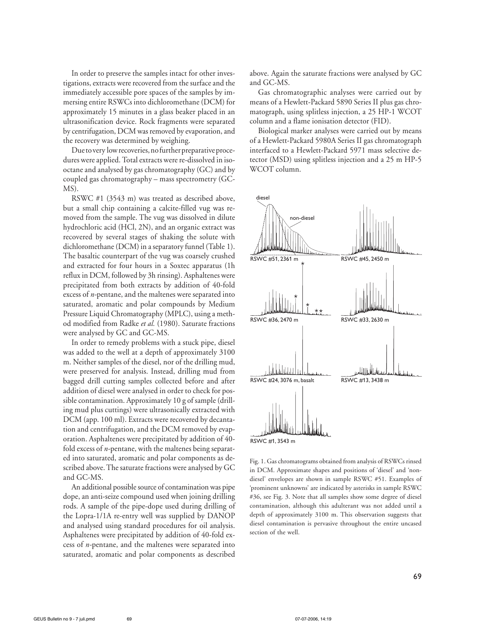In order to preserve the samples intact for other investigations, extracts were recovered from the surface and the immediately accessible pore spaces of the samples by immersing entire RSWCs into dichloromethane (DCM) for approximately 15 minutes in a glass beaker placed in an ultrasonification device. Rock fragments were separated by centrifugation, DCM was removed by evaporation, and the recovery was determined by weighing.

Due to very low recoveries, no further preparative procedures were applied. Total extracts were re-dissolved in isooctane and analysed by gas chromatography (GC) and by coupled gas chromatography – mass spectrometry (GC-MS).

RSWC #1 (3543 m) was treated as described above, but a small chip containing a calcite-filled vug was removed from the sample. The vug was dissolved in dilute hydrochloric acid (HCl, 2N), and an organic extract was recovered by several stages of shaking the solute with dichloromethane (DCM) in a separatory funnel (Table 1). The basaltic counterpart of the vug was coarsely crushed and extracted for four hours in a Soxtec apparatus (1h reflux in DCM, followed by 3h rinsing). Asphaltenes were precipitated from both extracts by addition of 40-fold excess of *n-*pentane, and the maltenes were separated into saturated, aromatic and polar compounds by Medium Pressure Liquid Chromatography (MPLC), using a method modified from Radke *et al.* (1980). Saturate fractions were analysed by GC and GC-MS.

In order to remedy problems with a stuck pipe, diesel was added to the well at a depth of approximately 3100 m. Neither samples of the diesel, nor of the drilling mud, were preserved for analysis. Instead, drilling mud from bagged drill cutting samples collected before and after addition of diesel were analysed in order to check for possible contamination. Approximately 10 g of sample (drilling mud plus cuttings) were ultrasonically extracted with DCM (app. 100 ml). Extracts were recovered by decantation and centrifugation, and the DCM removed by evaporation. Asphaltenes were precipitated by addition of 40 fold excess of *n-*pentane, with the maltenes being separated into saturated, aromatic and polar components as described above. The saturate fractions were analysed by GC and GC-MS.

An additional possible source of contamination was pipe dope, an anti-seize compound used when joining drilling rods. A sample of the pipe-dope used during drilling of the Lopra-1/1A re-entry well was supplied by DANOP and analysed using standard procedures for oil analysis. Asphaltenes were precipitated by addition of 40-fold excess of *n-*pentane, and the maltenes were separated into saturated, aromatic and polar components as described above. Again the saturate fractions were analysed by GC and GC-MS.

Gas chromatographic analyses were carried out by means of a Hewlett-Packard 5890 Series II plus gas chromatograph, using splitless injection, a 25 HP-1 WCOT column and a flame ionisation detector (FID).

Biological marker analyses were carried out by means of a Hewlett-Packard 5980A Series II gas chromatograph interfaced to a Hewlett-Packard 5971 mass selective detector (MSD) using splitless injection and a 25 m HP-5 WCOT column.



Fig. 1. Gas chromatograms obtained from analysis of RSWCs rinsed in DCM. Approximate shapes and positions of 'diesel' and 'nondiesel' envelopes are shown in sample RSWC #51. Examples of 'prominent unknowns' are indicated by asterisks in sample RSWC #36, see Fig. 3. Note that all samples show some degree of diesel contamination, although this adulterant was not added until a depth of approximately 3100 m. This observation suggests that diesel contamination is pervasive throughout the entire uncased section of the well.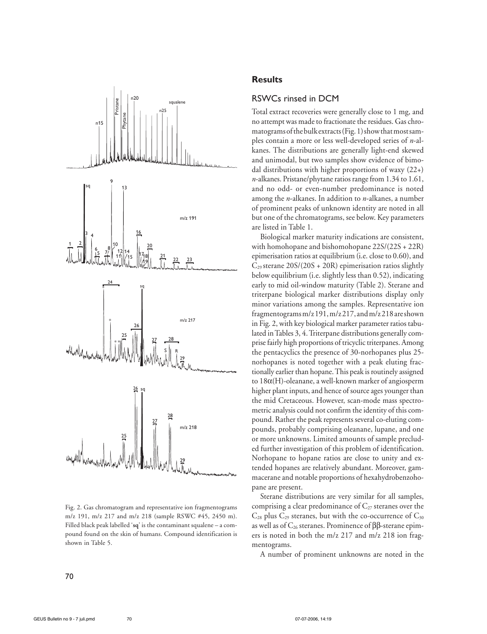

Fig. 2. Gas chromatogram and representative ion fragmentograms m/z 191, m/z 217 and m/z 218 (sample RSWC #45, 2450 m). Filled black peak labelled '**sq**' is the contaminant squalene – a compound found on the skin of humans. Compound identification is shown in Table 5.

### **Results**

### RSWCs rinsed in DCM

Total extract recoveries were generally close to 1 mg, and no attempt was made to fractionate the residues. Gas chromatogramsofthebulkextracts(Fig.1)showthatmostsamples contain a more or less well-developed series of *n*-alkanes. The distributions are generally light-end skewed and unimodal, but two samples show evidence of bimodal distributions with higher proportions of waxy  $(22+)$ *n*-alkanes. Pristane/phytane ratios range from 1.34 to 1.61, and no odd- or even-number predominance is noted among the *n*-alkanes. In addition to *n*-alkanes, a number of prominent peaks of unknown identity are noted in all but one of the chromatograms, see below. Key parameters are listed in Table 1.

Biological marker maturity indications are consistent, with homohopane and bishomohopane 22S/(22S + 22R) epimerisation ratios at equilibrium (i.e. close to 0.60), and  $C_{29}$  sterane 20S/(20S + 20R) epimerisation ratios slightly below equilibrium (i.e. slightly less than 0.52), indicating early to mid oil-window maturity (Table 2). Sterane and triterpane biological marker distributions display only minor variations among the samples. Representative ion fragmentogramsm/z191,m/z217, andm/z218areshown in Fig. 2, with key biological marker parameter ratios tabulated in Tables 3, 4. Triterpane distributions generally comprise fairly high proportions of tricyclic triterpanes. Among the pentacyclics the presence of 30-norhopanes plus 25 norhopanes is noted together with a peak eluting fractionally earlier than hopane. This peak is routinely assigned to 18α(H)-oleanane, a well-known marker of angiosperm higher plant inputs, and hence of source ages younger than the mid Cretaceous. However, scan-mode mass spectrometric analysis could not confirm the identity of this compound. Rather the peak represents several co-eluting compounds, probably comprising oleanane, lupane, and one or more unknowns. Limited amounts of sample precluded further investigation of this problem of identification. Norhopane to hopane ratios are close to unity and extended hopanes are relatively abundant. Moreover, gammacerane and notable proportions of hexahydrobenzohopane are present.

Sterane distributions are very similar for all samples, comprising a clear predominance of  $C_{27}$  steranes over the  $C_{28}$  plus  $C_{29}$  steranes, but with the co-occurrence of  $C_{30}$ as well as of  $C_{26}$  steranes. Prominence of  $\beta\beta$ -sterane epimers is noted in both the m/z 217 and m/z 218 ion fragmentograms.

A number of prominent unknowns are noted in the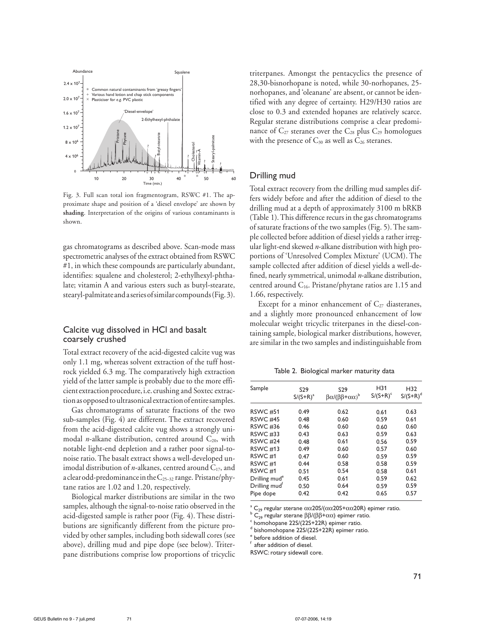

Fig. 3. Full scan total ion fragmentogram, RSWC #1. The approximate shape and position of a 'diesel envelope' are shown by **shading**. Interpretation of the origins of various contaminants is shown.

gas chromatograms as described above. Scan-mode mass spectrometric analyses of the extract obtained from RSWC #1, in which these compounds are particularly abundant, identifies: squalene and cholesterol; 2-ethylhexyl-phthalate; vitamin A and various esters such as butyl-stearate, stearyl-palmitate anda seriesofsimilar compounds(Fig.3).

#### Calcite vug dissolved in HCl and basalt coarsely crushed

Total extract recovery of the acid-digested calcite vug was only 1.1 mg, whereas solvent extraction of the tuff hostrock yielded 6.3 mg. The comparatively high extraction yield of the latter sample is probably due to the more efficient extraction procedure, i.e. crushing and Soxtec extractionasopposedtoultrasonicalextractionofentiresamples.

Gas chromatograms of saturate fractions of the two sub-samples (Fig. 4) are different. The extract recovered from the acid-digested calcite vug shows a strongly unimodal *n*-alkane distribution, centred around  $C_{20}$ , with notable light-end depletion and a rather poor signal-tonoise ratio. The basalt extract shows a well-developed unimodal distribution of *n*-alkanes, centred around  $C_{17}$ , and a clear odd-predominance in the  $C_{25-32}$  range. Pristane/phytane ratios are 1.02 and 1.20, respectively.

Biological marker distributions are similar in the two samples, although the signal-to-noise ratio observed in the acid-digested sample is rather poor (Fig. 4). These distributions are significantly different from the picture provided by other samples, including both sidewall cores (see above), drilling mud and pipe dope (see below). Triterpane distributions comprise low proportions of tricyclic triterpanes. Amongst the pentacyclics the presence of 28,30-bisnorhopane is noted, while 30-norhopanes, 25 norhopanes, and 'oleanane' are absent, or cannot be identified with any degree of certainty. H29/H30 ratios are close to 0.3 and extended hopanes are relatively scarce. Regular sterane distributions comprise a clear predominance of  $C_{27}$  steranes over the  $C_{28}$  plus  $C_{29}$  homologues with the presence of  $C_{30}$  as well as  $C_{26}$  steranes.

#### Drilling mud

Total extract recovery from the drilling mud samples differs widely before and after the addition of diesel to the drilling mud at a depth of approximately 3100 m bRKB (Table 1). This difference recurs in the gas chromatograms of saturate fractions of the two samples (Fig. 5). The sample collected before addition of diesel yields a rather irregular light-end skewed *n*-alkane distribution with high proportions of 'Unresolved Complex Mixture' (UCM). The sample collected after addition of diesel yields a well-defined, nearly symmetrical, unimodal *n*-alkane distribution, centred around  $C_{16}$ . Pristane/phytane ratios are 1.15 and 1.66, respectively.

Except for a minor enhancement of  $C_{27}$  diasteranes, and a slightly more pronounced enhancement of low molecular weight tricyclic triterpanes in the diesel-containing sample, biological marker distributions, however, are similar in the two samples and indistinguishable from

Table 2. Biological marker maturity data

| S <sub>29</sub><br>$S/(S+R)^a$ | S <sub>29</sub><br>$βα/ (ββ+αα)b$ | H31<br>$S/(S+R)^c$ | H32<br>$S/(S+R)^d$ |
|--------------------------------|-----------------------------------|--------------------|--------------------|
|                                |                                   |                    | 0.63               |
| 0.48                           | 0.60                              | 0.59               | 0.61               |
| 0.46                           | 0.60                              | 0.60               | 0.60               |
| 0.43                           | 0.63                              | 0.59               | 0.63               |
| 0.48                           | 0.61                              | 0.56               | 0.59               |
| 0.49                           | 0.60                              | 0.57               | 0.60               |
| 0.47                           | 0.60                              | 0.59               | 0.59               |
| 0.44                           | 0.58                              | 0.58               | 0.59               |
| 0.51                           | 0.54                              | 0.58               | 0.61               |
| 0.45                           | 0.61                              | 0.59               | 0.62               |
| 0.50                           | 0.64                              | 0.59               | 0.59               |
| 0.42                           | 0.42                              | 0.65               | 0.57               |
|                                | 0.49                              | 0.62               | 0.61               |

a C<sub>29</sub> regular sterane  $αα20$ S/( $αα20$ S+ $αα20$ R) epimer ratio.

 $\overline{C}_{29}$  regular sterane ββ/(ββ+αα) epimer ratio.

 $6$  homohopane 22S/(22S+22R) epimer ratio.

 $\sigma$ <sup>d</sup> bishomohopane 22S/(22S+22R) epimer ratio.<br><sup>e</sup> before addition of diesel.

 $f$  after addition of diesel.

RSWC: rotary sidewall core.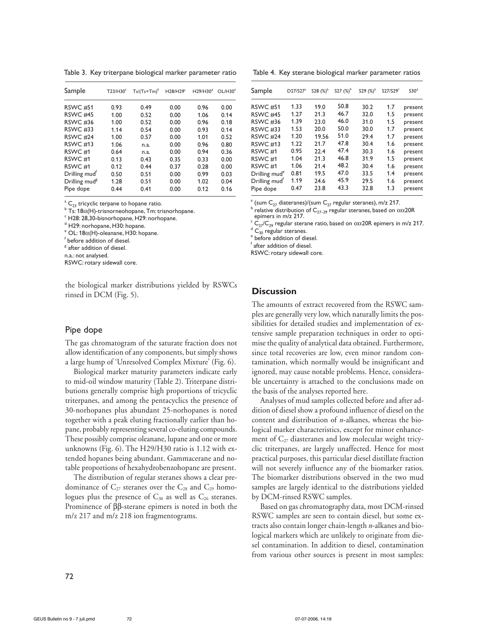Table 3. Key triterpane biological marker parameter ratio

| Sample                    | T23/H30 <sup>a</sup> | $Ts/(Ts+Tm)^b$ | H28/H29 <sup>c</sup> | H29/H30 <sup>d</sup> | OL/H30 <sup>e</sup> |
|---------------------------|----------------------|----------------|----------------------|----------------------|---------------------|
| <b>RSWC #51</b>           | 0.93                 | 0.49           | 0.00                 | 0.96                 | 0.00                |
| <b>RSWC #45</b>           | 1.00                 | 0.52           | 0.00                 | 1.06                 | 0.14                |
| <b>RSWC #36</b>           | 1.00                 | 0.52           | 0.00                 | 0.96                 | 0.18                |
| <b>RSWC #33</b>           | 1.14                 | 0.54           | 0.00                 | 0.93                 | 0.14                |
| RSWC <sub>#24</sub>       | 1.00                 | 0.57           | 0.00                 | 1.01                 | 0.52                |
| <b>RSWC #13</b>           | 1.06                 | n.a.           | 0.00                 | 0.96                 | 0.80                |
| RSWC <sub>#1</sub>        | 0.64                 | n.a.           | 0.00                 | 0.94                 | 0.36                |
| RSWC <sub>#1</sub>        | 0.13                 | 0.43           | 0.35                 | 0.33                 | 0.00                |
| RSWC <sub>#1</sub>        | 0.12                 | 0.44           | 0.37                 | 0.28                 | 0.00                |
| Drilling mud <sup>r</sup> | 0.50                 | 0.51           | 0.00                 | 0.99                 | 0.03                |
| Drilling mud <sup>8</sup> | 1.28                 | 0.51           | 0.00                 | 1.02                 | 0.04                |
| Pipe dope                 | 0.44                 | 0.41           | 0.00                 | 0.12                 | 0.16                |

 $^a$  C<sub>23</sub> tricyclic terpane to hopane ratio.  $^{\text{a}}$  C<sub>23</sub> tricyclic terpane to hopane ratio.<br><sup>b</sup> Ts: 180(H) trisporpeobopane Tm: tr

<sup>b</sup> Ts: 18α(H)-trisnorneohopane, Tm: trisnorhopane.<br><sup>c</sup> H28: 28.30.bisnorbopane, H29: norbopane.

 $\degree$  H28: 28,30-bisnorhopane, H29: norhopane.

 $<sup>d</sup>$  H29: norhopane, H30: hopane.</sup>

 $^{\circ}$  OL: 18 $\alpha$ (H)-oleanane, H30: hopane.

 $<sup>f</sup>$  before addition of diesel.</sup>

<sup>8</sup> after addition of diesel.

n.a.: not analysed.

RSWC: rotary sidewall core.

the biological marker distributions yielded by RSWCs rinsed in DCM (Fig. 5).

#### Pipe dope

The gas chromatogram of the saturate fraction does not allow identification of any components, but simply shows a large hump of 'Unresolved Complex Mixture' (Fig. 6).

Biological marker maturity parameters indicate early to mid-oil window maturity (Table 2). Triterpane distributions generally comprise high proportions of tricyclic triterpanes, and among the pentacyclics the presence of 30-norhopanes plus abundant 25-norhopanes is noted together with a peak eluting fractionally earlier than hopane, probably representing several co-eluting compounds. These possibly comprise oleanane, lupane and one or more unknowns (Fig. 6). The H29/H30 ratio is 1.12 with extended hopanes being abundant. Gammacerane and notable proportions of hexahydrobenzohopane are present.

The distribution of regular steranes shows a clear predominance of  $C_{27}$  steranes over the  $C_{28}$  and  $C_{29}$  homologues plus the presence of  $C_{30}$  as well as  $C_{26}$  steranes. Prominence of ββ-sterane epimers is noted in both the m/z 217 and m/z 218 ion fragmentograms.

Table 4. Key sterane biological marker parameter ratios

| Sample                    | D27/S27 <sup>a</sup> | S28 $(%)^b$ | S27 $(%)^b$ | S29 $(%)^b$ | S27/S29 <sup>c</sup> | S30 <sup>d</sup> |
|---------------------------|----------------------|-------------|-------------|-------------|----------------------|------------------|
| <b>RSWC #51</b>           | 1.33                 | 19.0        | 50.8        | 30.2        | 1.7                  | present          |
| RSWC <sub>#45</sub>       | 1.27                 | 21.3        | 46.7        | 32.0        | 1.5                  | present          |
| <b>RSWC #36</b>           | 1.39                 | 23.0        | 46.0        | 31.0        | 1.5                  | present          |
| <b>RSWC #33</b>           | 1.53                 | 20.0        | 50.0        | 30.0        | 1.7                  | present          |
| <b>RSWC #24</b>           | 1.20                 | 19.56       | 51.0        | 29.4        | 1.7                  | present          |
| <b>RSWC #13</b>           | 1.22                 | 21.7        | 47.8        | 30.4        | 1.6                  | present          |
| RSWC <sub>#1</sub>        | 0.95                 | 22.4        | 47.4        | 30.3        | 1.6                  | present          |
| RSWC <sub>#1</sub>        | 1.04                 | 21.3        | 46.8        | 31.9        | 1.5                  | present          |
| RSWC <sub>#1</sub>        | 1.06                 | 21.4        | 48.2        | 30.4        | 1.6                  | present          |
| Drilling mud <sup>e</sup> | 0.81                 | 19.5        | 47.0        | 33.5        | 1.4                  | present          |
| Drilling mud <sup>t</sup> | 1.19                 | 24.6        | 45.9        | 29.5        | 1.6                  | present          |
| Pipe dope                 | 0.47                 | 23.8        | 43.3        | 32.8        | 1.3                  | present          |

<sup>a</sup> (sum C<sub>27</sub> diateranes)/(sum C<sub>27</sub> regular steranes), m/z 217.<br><sup>b</sup> relative distribution of C<sub>27</sub> regular steranes, based on 0

<sup>b</sup> relative distribution of C<sub>27–29</sub> regular steranes, based on αα20R epimers in m/z 217. epimers in m/z 217.

<sup>c</sup> C<sub>27</sub>/C<sub>29</sub> regular sterane ratio, based on αα20R epimers in m/z 217.<br><sup>d</sup> C \_ regular steranes

 $\overline{C}_{30}$  regular steranes.

 $e$  before addition of diesel.

f after addition of diesel.

RSWC: rotary sidewall core.

#### **Discussion**

The amounts of extract recovered from the RSWC samples are generally very low, which naturally limits the possibilities for detailed studies and implementation of extensive sample preparation techniques in order to optimise the quality of analytical data obtained. Furthermore, since total recoveries are low, even minor random contamination, which normally would be insignificant and ignored, may cause notable problems. Hence, considerable uncertainty is attached to the conclusions made on the basis of the analyses reported here.

Analyses of mud samples collected before and after addition of diesel show a profound influence of diesel on the content and distribution of *n*-alkanes, whereas the biological marker characteristics, except for minor enhancement of  $C_{27}$  diasteranes and low molecular weight tricyclic triterpanes, are largely unaffected. Hence for most practical purposes, this particular diesel distillate fraction will not severely influence any of the biomarker ratios. The biomarker distributions observed in the two mud samples are largely identical to the distributions yielded by DCM-rinsed RSWC samples.

Based on gas chromatography data, most DCM-rinsed RSWC samples are seen to contain diesel, but some extracts also contain longer chain-length *n*-alkanes and biological markers which are unlikely to originate from diesel contamination. In addition to diesel, contamination from various other sources is present in most samples: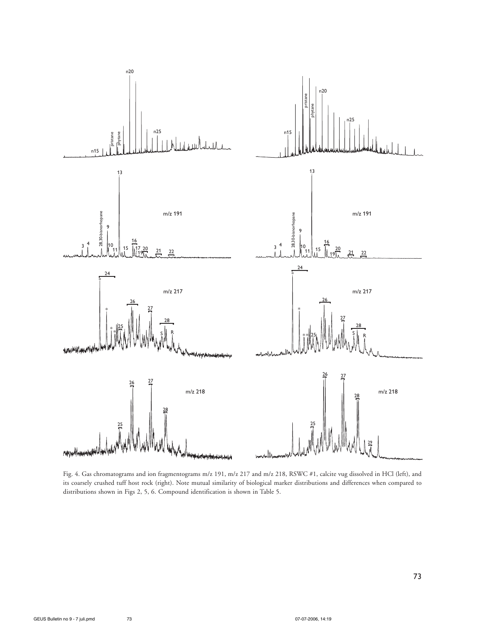

Fig. 4. Gas chromatograms and ion fragmentograms m/z 191, m/z 217 and m/z 218, RSWC #1, calcite vug dissolved in HCl (left), and its coarsely crushed tuff host rock (right). Note mutual similarity of biological marker distributions and differences when compared to distributions shown in Figs 2, 5, 6. Compound identification is shown in Table 5.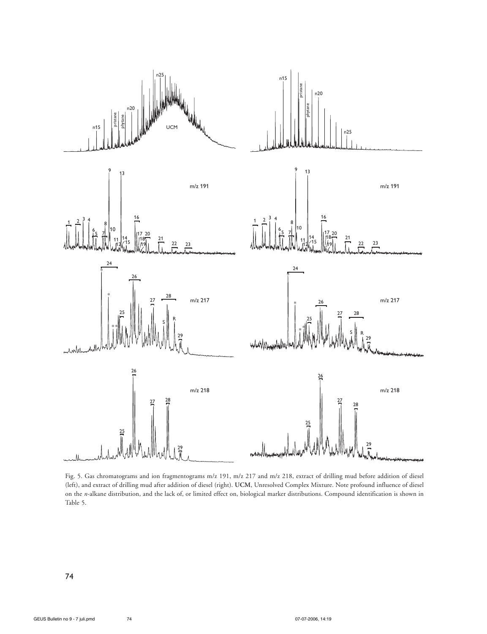

Fig. 5. Gas chromatograms and ion fragmentograms m/z 191, m/z 217 and m/z 218, extract of drilling mud before addition of diesel (left), and extract of drilling mud after addition of diesel (right). **UCM**, Unresolved Complex Mixture. Note profound influence of diesel on the *n*-alkane distribution, and the lack of, or limited effect on, biological marker distributions. Compound identification is shown in Table 5.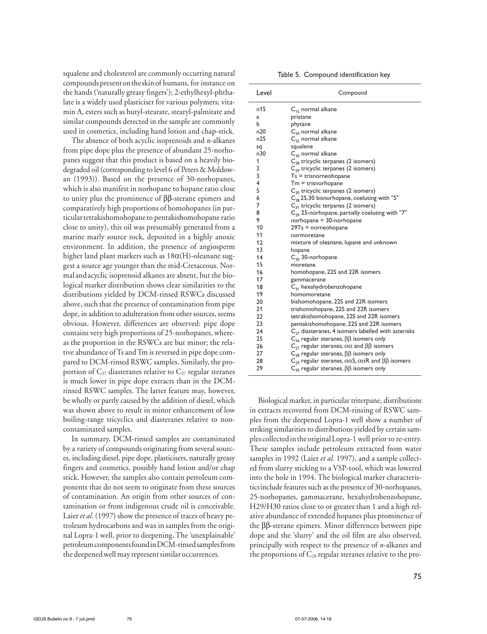squalene and cholesterol are commonly occurring natural compoundspresentontheskinof humans, for instance on the hands ('naturally greasy fingers'); 2-ethylhexyl-phthalate is a widely used plasticiser for various polymers; vitamin A, esters such as butyl-stearate, stearyl-palmitate and similar compounds detected in the sample are commonly used in cosmetics, including hand lotion and chap-stick.

The absence of both acyclic isoprenoids and *n*-alkanes from pipe dope plus the presence of abundant 25-norhopanes suggest that this product is based on a heavily biodegraded oil (corresponding to level 6 of Peters & Moldowan (1993)). Based on the presence of 30-norhopanes, which is also manifest in norhopane to hopane ratio close to unity plus the prominence of ββ-sterane epimers and comparatively high proportions of homohopanes (in particulartetrakishomohopaneto pentakishomohopane ratio close to unity), this oil was presumably generated from a marine marly source rock, deposited in a highly anoxic environment. In addition, the presence of angiosperm higher land plant markers such as 18α(H)-oleanane suggest a source age younger than the mid-Cretaceous. Normal andacyclic isoprenoid alkanes are absent, but the biological marker distribution shows clear similarities to the distributions yielded by DCM-rinsed RSWCs discussed above, such that the presence of contamination from pipe dope, in addition to adulteration from other sources, seems obvious. However, differences are observed: pipe dope contains very high proportions of 25-norhopanes, whereas the proportion in the RSWCs are but minor; the relative abundance of Ts and Tm is reversed in pipe dope compared to DCM-rinsed RSWC samples. Similarly, the proportion of  $C_{27}$  diasteranes relative to  $C_{27}$  regular steranes is much lower in pipe dope extracts than in the DCMrinsed RSWC samples. The latter feature may, however, be wholly or partly caused by the addition of diesel, which was shown above to result in minor enhancement of low boiling-range tricyclics and diasteranes relative to noncontaminated samples.

In summary, DCM-rinsed samples are contaminated by a variety of compounds originating from several sources, including diesel, pipe dope, plasticisers, naturally greasy fingers and cosmetics, possibly hand lotion and/or chap stick. However, the samples also contain petroleum components that do not seem to originate from these sources of contamination. An origin from other sources of contamination or from indigenous crude oil is conceivable. Laier *et al.* (1997) show the presence of traces of heavy petroleum hydrocarbons and wax in samples from the original Lopra-1 well, prior to deepening. The 'unexplainable' petroleumcomponentsfoundinDCM-rinsedsamplesfrom the deepened well may represent similar occurrences.

Table 5. Compound identification key

| n15<br>$C_{15}$ normal alkane<br>pristane<br>a<br>phytane<br>b<br>n20<br>$C_{20}$ normal alkane<br>n25<br>$C_{25}$ normal alkane<br>squalene<br>sq<br>n30<br>$C_{30}$ normal alkane<br>1<br>C <sub>28</sub> tricyclic terpanes (2 isomers)<br>C <sub>29</sub> tricyclic terpanes (2 isomers)<br>2<br>3<br>$Ts = trisnormeb$<br>$\overline{4}$<br>$Tm = trisnorhopane$<br>5<br>$C_{30}$ tricyclic terpanes (2 isomers)<br>6<br>$C_{28}$ 25,30 bisnorhopane, coeluting with "5"<br>7<br>$C_{31}$ tricyclic terpanes (2 isomers)<br>C <sub>29</sub> 25-norhopane, partially coeluting with "7"<br>8<br>9<br>$norhopane = 30-norhopane$<br>10<br>$29Ts =$ norneohopane<br>11<br>normoretane<br>12<br>mixture of oleanane, lupane and unknown<br>13<br>hopane<br>$C_{30}$ 30-norhopane<br>14<br>15<br>moretane<br>16<br>homohopane, 22S and 22R isomers<br>17<br>gammacerane<br>$C_{31}$ hexahydrobenzohopane<br>18<br>19<br>homomoretane<br>20<br>bishomohopane, 22S and 22R isomers<br>trishomohopane, 22S and 22R isomers<br>21<br>22<br>tetrakishomohopane, 22S and 22R isomers<br>23<br>pentakishomohopane, 22S and 22R isomers<br>24<br>$C_{27}$ diasteranes, 4 isomers labelled with asterisks<br>25<br>$C_{26}$ regular steranes, $\beta\beta$ isomers only<br>26<br>$C_{27}$ regular steranes, $\alpha\alpha$ and $\beta\beta$ isomers<br>$C_{28}$ regular steranes, $\beta\beta$ isomers only<br>27<br>28<br>$C_{29}$ regular steranes, $\alpha\alpha$ S, $\alpha\alpha$ R and $\beta\beta$ isomers<br>$C_{30}$ regular steranes, $\beta\beta$ isomers only<br>29 | Level | Compound |
|------------------------------------------------------------------------------------------------------------------------------------------------------------------------------------------------------------------------------------------------------------------------------------------------------------------------------------------------------------------------------------------------------------------------------------------------------------------------------------------------------------------------------------------------------------------------------------------------------------------------------------------------------------------------------------------------------------------------------------------------------------------------------------------------------------------------------------------------------------------------------------------------------------------------------------------------------------------------------------------------------------------------------------------------------------------------------------------------------------------------------------------------------------------------------------------------------------------------------------------------------------------------------------------------------------------------------------------------------------------------------------------------------------------------------------------------------------------------------------------------------------------------------------------------------------------------|-------|----------|
|                                                                                                                                                                                                                                                                                                                                                                                                                                                                                                                                                                                                                                                                                                                                                                                                                                                                                                                                                                                                                                                                                                                                                                                                                                                                                                                                                                                                                                                                                                                                                                        |       |          |
|                                                                                                                                                                                                                                                                                                                                                                                                                                                                                                                                                                                                                                                                                                                                                                                                                                                                                                                                                                                                                                                                                                                                                                                                                                                                                                                                                                                                                                                                                                                                                                        |       |          |
|                                                                                                                                                                                                                                                                                                                                                                                                                                                                                                                                                                                                                                                                                                                                                                                                                                                                                                                                                                                                                                                                                                                                                                                                                                                                                                                                                                                                                                                                                                                                                                        |       |          |
|                                                                                                                                                                                                                                                                                                                                                                                                                                                                                                                                                                                                                                                                                                                                                                                                                                                                                                                                                                                                                                                                                                                                                                                                                                                                                                                                                                                                                                                                                                                                                                        |       |          |
|                                                                                                                                                                                                                                                                                                                                                                                                                                                                                                                                                                                                                                                                                                                                                                                                                                                                                                                                                                                                                                                                                                                                                                                                                                                                                                                                                                                                                                                                                                                                                                        |       |          |
|                                                                                                                                                                                                                                                                                                                                                                                                                                                                                                                                                                                                                                                                                                                                                                                                                                                                                                                                                                                                                                                                                                                                                                                                                                                                                                                                                                                                                                                                                                                                                                        |       |          |
|                                                                                                                                                                                                                                                                                                                                                                                                                                                                                                                                                                                                                                                                                                                                                                                                                                                                                                                                                                                                                                                                                                                                                                                                                                                                                                                                                                                                                                                                                                                                                                        |       |          |
|                                                                                                                                                                                                                                                                                                                                                                                                                                                                                                                                                                                                                                                                                                                                                                                                                                                                                                                                                                                                                                                                                                                                                                                                                                                                                                                                                                                                                                                                                                                                                                        |       |          |
|                                                                                                                                                                                                                                                                                                                                                                                                                                                                                                                                                                                                                                                                                                                                                                                                                                                                                                                                                                                                                                                                                                                                                                                                                                                                                                                                                                                                                                                                                                                                                                        |       |          |
|                                                                                                                                                                                                                                                                                                                                                                                                                                                                                                                                                                                                                                                                                                                                                                                                                                                                                                                                                                                                                                                                                                                                                                                                                                                                                                                                                                                                                                                                                                                                                                        |       |          |
|                                                                                                                                                                                                                                                                                                                                                                                                                                                                                                                                                                                                                                                                                                                                                                                                                                                                                                                                                                                                                                                                                                                                                                                                                                                                                                                                                                                                                                                                                                                                                                        |       |          |
|                                                                                                                                                                                                                                                                                                                                                                                                                                                                                                                                                                                                                                                                                                                                                                                                                                                                                                                                                                                                                                                                                                                                                                                                                                                                                                                                                                                                                                                                                                                                                                        |       |          |
|                                                                                                                                                                                                                                                                                                                                                                                                                                                                                                                                                                                                                                                                                                                                                                                                                                                                                                                                                                                                                                                                                                                                                                                                                                                                                                                                                                                                                                                                                                                                                                        |       |          |
|                                                                                                                                                                                                                                                                                                                                                                                                                                                                                                                                                                                                                                                                                                                                                                                                                                                                                                                                                                                                                                                                                                                                                                                                                                                                                                                                                                                                                                                                                                                                                                        |       |          |
|                                                                                                                                                                                                                                                                                                                                                                                                                                                                                                                                                                                                                                                                                                                                                                                                                                                                                                                                                                                                                                                                                                                                                                                                                                                                                                                                                                                                                                                                                                                                                                        |       |          |
|                                                                                                                                                                                                                                                                                                                                                                                                                                                                                                                                                                                                                                                                                                                                                                                                                                                                                                                                                                                                                                                                                                                                                                                                                                                                                                                                                                                                                                                                                                                                                                        |       |          |
|                                                                                                                                                                                                                                                                                                                                                                                                                                                                                                                                                                                                                                                                                                                                                                                                                                                                                                                                                                                                                                                                                                                                                                                                                                                                                                                                                                                                                                                                                                                                                                        |       |          |
|                                                                                                                                                                                                                                                                                                                                                                                                                                                                                                                                                                                                                                                                                                                                                                                                                                                                                                                                                                                                                                                                                                                                                                                                                                                                                                                                                                                                                                                                                                                                                                        |       |          |
|                                                                                                                                                                                                                                                                                                                                                                                                                                                                                                                                                                                                                                                                                                                                                                                                                                                                                                                                                                                                                                                                                                                                                                                                                                                                                                                                                                                                                                                                                                                                                                        |       |          |
|                                                                                                                                                                                                                                                                                                                                                                                                                                                                                                                                                                                                                                                                                                                                                                                                                                                                                                                                                                                                                                                                                                                                                                                                                                                                                                                                                                                                                                                                                                                                                                        |       |          |
|                                                                                                                                                                                                                                                                                                                                                                                                                                                                                                                                                                                                                                                                                                                                                                                                                                                                                                                                                                                                                                                                                                                                                                                                                                                                                                                                                                                                                                                                                                                                                                        |       |          |
|                                                                                                                                                                                                                                                                                                                                                                                                                                                                                                                                                                                                                                                                                                                                                                                                                                                                                                                                                                                                                                                                                                                                                                                                                                                                                                                                                                                                                                                                                                                                                                        |       |          |
|                                                                                                                                                                                                                                                                                                                                                                                                                                                                                                                                                                                                                                                                                                                                                                                                                                                                                                                                                                                                                                                                                                                                                                                                                                                                                                                                                                                                                                                                                                                                                                        |       |          |
|                                                                                                                                                                                                                                                                                                                                                                                                                                                                                                                                                                                                                                                                                                                                                                                                                                                                                                                                                                                                                                                                                                                                                                                                                                                                                                                                                                                                                                                                                                                                                                        |       |          |
|                                                                                                                                                                                                                                                                                                                                                                                                                                                                                                                                                                                                                                                                                                                                                                                                                                                                                                                                                                                                                                                                                                                                                                                                                                                                                                                                                                                                                                                                                                                                                                        |       |          |
|                                                                                                                                                                                                                                                                                                                                                                                                                                                                                                                                                                                                                                                                                                                                                                                                                                                                                                                                                                                                                                                                                                                                                                                                                                                                                                                                                                                                                                                                                                                                                                        |       |          |
|                                                                                                                                                                                                                                                                                                                                                                                                                                                                                                                                                                                                                                                                                                                                                                                                                                                                                                                                                                                                                                                                                                                                                                                                                                                                                                                                                                                                                                                                                                                                                                        |       |          |
|                                                                                                                                                                                                                                                                                                                                                                                                                                                                                                                                                                                                                                                                                                                                                                                                                                                                                                                                                                                                                                                                                                                                                                                                                                                                                                                                                                                                                                                                                                                                                                        |       |          |
|                                                                                                                                                                                                                                                                                                                                                                                                                                                                                                                                                                                                                                                                                                                                                                                                                                                                                                                                                                                                                                                                                                                                                                                                                                                                                                                                                                                                                                                                                                                                                                        |       |          |
|                                                                                                                                                                                                                                                                                                                                                                                                                                                                                                                                                                                                                                                                                                                                                                                                                                                                                                                                                                                                                                                                                                                                                                                                                                                                                                                                                                                                                                                                                                                                                                        |       |          |
|                                                                                                                                                                                                                                                                                                                                                                                                                                                                                                                                                                                                                                                                                                                                                                                                                                                                                                                                                                                                                                                                                                                                                                                                                                                                                                                                                                                                                                                                                                                                                                        |       |          |
|                                                                                                                                                                                                                                                                                                                                                                                                                                                                                                                                                                                                                                                                                                                                                                                                                                                                                                                                                                                                                                                                                                                                                                                                                                                                                                                                                                                                                                                                                                                                                                        |       |          |
|                                                                                                                                                                                                                                                                                                                                                                                                                                                                                                                                                                                                                                                                                                                                                                                                                                                                                                                                                                                                                                                                                                                                                                                                                                                                                                                                                                                                                                                                                                                                                                        |       |          |
|                                                                                                                                                                                                                                                                                                                                                                                                                                                                                                                                                                                                                                                                                                                                                                                                                                                                                                                                                                                                                                                                                                                                                                                                                                                                                                                                                                                                                                                                                                                                                                        |       |          |
|                                                                                                                                                                                                                                                                                                                                                                                                                                                                                                                                                                                                                                                                                                                                                                                                                                                                                                                                                                                                                                                                                                                                                                                                                                                                                                                                                                                                                                                                                                                                                                        |       |          |
|                                                                                                                                                                                                                                                                                                                                                                                                                                                                                                                                                                                                                                                                                                                                                                                                                                                                                                                                                                                                                                                                                                                                                                                                                                                                                                                                                                                                                                                                                                                                                                        |       |          |

Biological marker, in particular triterpane, distributions in extracts recovered from DCM-rinsing of RSWC samples from the deepened Lopra-1 well show a number of striking similarities to distributions yielded by certain samples collectedintheoriginalLopra-1 well prior to re-entry. These samples include petroleum extracted from water samples in 1992 (Laier *et al.* 1997), and a sample collected from slurry sticking to a VSP-tool, which was lowered into the hole in 1994. The biological marker characteristicsinclude features such as the presence of 30-norhopanes, 25-norhopanes, gammacerane, hexahydrobenzohopane, H29/H30 ratios close to or greater than 1 and a high relative abundance of extended hopanes plus prominence of the ββ-sterane epimers. Minor differences between pipe dope and the 'slurry' and the oil film are also observed, principally with respect to the presence of *n*-alkanes and the proportions of  $C_{28}$  regular steranes relative to the pro-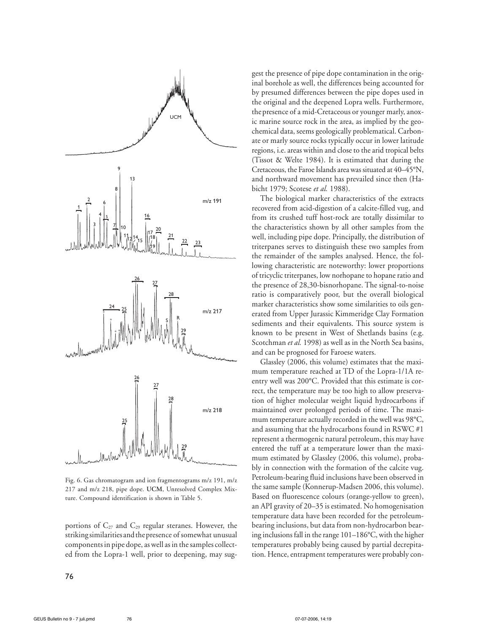

Fig. 6. Gas chromatogram and ion fragmentograms m/z 191, m/z 217 and m/z 218, pipe dope. **UCM**, Unresolved Complex Mixture. Compound identification is shown in Table 5.

portions of  $C_{27}$  and  $C_{29}$  regular steranes. However, the striking similarities and the presence of somewhat unusual componentsin pipe dope, aswell asin thesamples collected from the Lopra-1 well, prior to deepening, may suggest the presence of pipe dope contamination in the original borehole as well, the differences being accounted for by presumed differences between the pipe dopes used in the original and the deepened Lopra wells. Furthermore, thepresence of a mid-Cretaceous or younger marly, anoxic marine source rock in the area, as implied by the geochemical data, seems geologically problematical. Carbonate or marly source rocks typically occur in lower latitude regions, i.e. areas within and close to the arid tropical belts (Tissot & Welte 1984). It is estimated that during the Cretaceous, the Faroe Islands area was situated at 40–45°N, and northward movement has prevailed since then (Habicht 1979; Scotese *et al.* 1988).

The biological marker characteristics of the extracts recovered from acid-digestion of a calcite-filled vug, and from its crushed tuff host-rock are totally dissimilar to the characteristics shown by all other samples from the well, including pipe dope. Principally, the distribution of triterpanes serves to distinguish these two samples from the remainder of the samples analysed. Hence, the following characteristic are noteworthy: lower proportions of tricyclic triterpanes, low norhopane to hopane ratio and the presence of 28,30-bisnorhopane. The signal-to-noise ratio is comparatively poor, but the overall biological marker characteristics show some similarities to oils generated from Upper Jurassic Kimmeridge Clay Formation sediments and their equivalents. This source system is known to be present in West of Shetlands basins (e.g. Scotchman *et al.* 1998) as well as in the North Sea basins, and can be prognosed for Faroese waters.

Glassley (2006, this volume) estimates that the maximum temperature reached at TD of the Lopra-1/1A reentry well was 200°C. Provided that this estimate is correct, the temperature may be too high to allow preservation of higher molecular weight liquid hydrocarbons if maintained over prolonged periods of time. The maximum temperature actually recorded in the well was 98°C, and assuming that the hydrocarbons found in RSWC #1 represent a thermogenic natural petroleum, this may have entered the tuff at a temperature lower than the maximum estimated by Glassley (2006, this volume), probably in connection with the formation of the calcite vug. Petroleum-bearing fluid inclusions have been observed in the same sample (Konnerup-Madsen 2006, this volume). Based on fluorescence colours (orange-yellow to green), an API gravity of 20–35 is estimated. No homogenisation temperature data have been recorded for the petroleumbearing inclusions, but data from non-hydrocarbon bearing inclusions fall in the range 101–186°C, with the higher temperatures probably being caused by partial decrepitation. Hence, entrapment temperatures were probably con